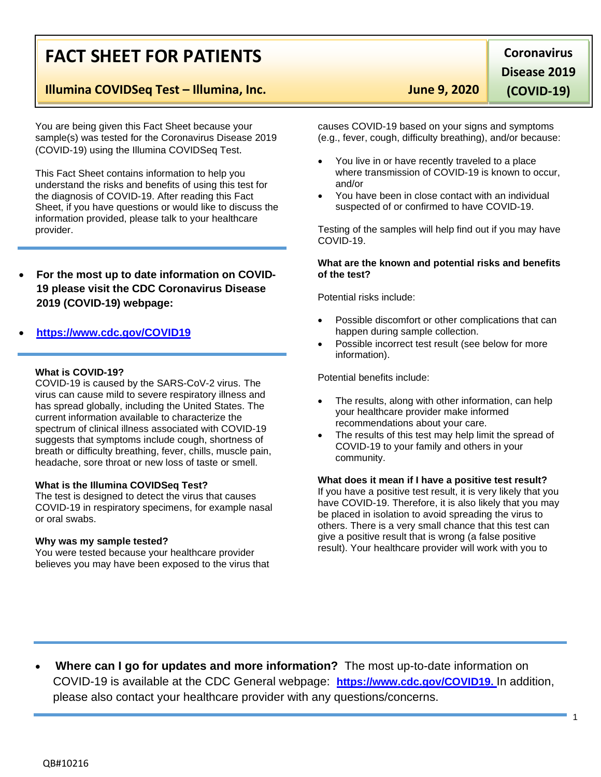# **FACT SHEET FOR PATIENTS**

# **Illumina COVIDSeq Test – Illumina, Inc. June 9, 2020**

You are being given this Fact Sheet because your sample(s) was tested for the Coronavirus Disease 2019 (COVID-19) using the Illumina COVIDSeq Test.

This Fact Sheet contains information to help you understand the risks and benefits of using this test for the diagnosis of COVID-19. After reading this Fact Sheet, if you have questions or would like to discuss the information provided, please talk to your healthcare provider.

• **For the most up to date information on COVID-19 please visit the CDC Coronavirus Disease 2019 (COVID-19) webpage:**

## • **[https://www.cdc.gov/COVID19](https://www.cdc.gov/nCoV)**

## **What is COVID-19?**

COVID-19 is caused by the SARS-CoV-2 virus. The virus can cause mild to severe respiratory illness and has spread globally, including the United States. The current information available to characterize the spectrum of clinical illness associated with COVID-19 suggests that symptoms include cough, shortness of breath or difficulty breathing, fever, chills, muscle pain, headache, sore throat or new loss of taste or smell.

## **What is the Illumina COVIDSeq Test?**

The test is designed to detect the virus that causes COVID-19 in respiratory specimens, for example nasal or oral swabs.

#### **Why was my sample tested?**

You were tested because your healthcare provider believes you may have been exposed to the virus that

**Coronavirus Disease 2019** 

1

**(COVID-19)**

causes COVID-19 based on your signs and symptoms (e.g., fever, cough, difficulty breathing), and/or because:

- You live in or have recently traveled to a place where transmission of COVID-19 is known to occur, and/or
- You have been in close contact with an individual suspected of or confirmed to have COVID-19.

Testing of the samples will help find out if you may have COVID-19.

#### **What are the known and potential risks and benefits of the test?**

Potential risks include:

- Possible discomfort or other complications that can happen during sample collection.
- Possible incorrect test result (see below for more information).

Potential benefits include:

- The results, along with other information, can help your healthcare provider make informed recommendations about your care.
- The results of this test may help limit the spread of COVID-19 to your family and others in your community.

#### **What does it mean if I have a positive test result?**

If you have a positive test result, it is very likely that you have COVID-19. Therefore, it is also likely that you may be placed in isolation to avoid spreading the virus to others. There is a very small chance that this test can give a positive result that is wrong (a false positive result). Your healthcare provider will work with you to

• **Where can I go for updates and more information?** The most up-to-date information on COVID-19 is available at the CDC General webpage: **[https://www.cdc.gov/COVID19.](https://www.cdc.gov/nCoV)** In addition, please also contact your healthcare provider with any questions/concerns.